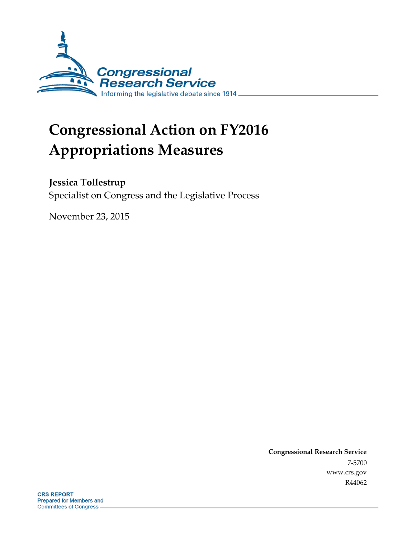

# **Congressional Action on FY2016 Appropriations Measures**

## **Jessica Tollestrup**

Specialist on Congress and the Legislative Process

November 23, 2015

**Congressional Research Service** 7-5700 www.crs.gov R44062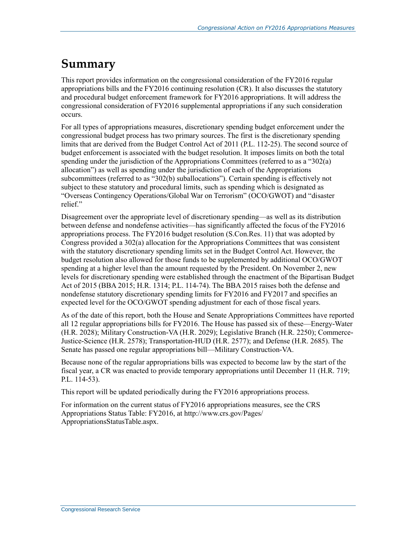# **Summary**

This report provides information on the congressional consideration of the FY2016 regular appropriations bills and the FY2016 continuing resolution (CR). It also discusses the statutory and procedural budget enforcement framework for FY2016 appropriations. It will address the congressional consideration of FY2016 supplemental appropriations if any such consideration occurs.

For all types of appropriations measures, discretionary spending budget enforcement under the congressional budget process has two primary sources. The first is the discretionary spending limits that are derived from the Budget Control Act of 2011 (P.L. 112-25). The second source of budget enforcement is associated with the budget resolution. It imposes limits on both the total spending under the jurisdiction of the Appropriations Committees (referred to as a "302(a) allocation") as well as spending under the jurisdiction of each of the Appropriations subcommittees (referred to as "302(b) suballocations"). Certain spending is effectively not subject to these statutory and procedural limits, such as spending which is designated as "Overseas Contingency Operations/Global War on Terrorism" (OCO/GWOT) and "disaster relief."

Disagreement over the appropriate level of discretionary spending—as well as its distribution between defense and nondefense activities—has significantly affected the focus of the FY2016 appropriations process. The FY2016 budget resolution (S.Con.Res. 11) that was adopted by Congress provided a 302(a) allocation for the Appropriations Committees that was consistent with the statutory discretionary spending limits set in the Budget Control Act. However, the budget resolution also allowed for those funds to be supplemented by additional OCO/GWOT spending at a higher level than the amount requested by the President. On November 2, new levels for discretionary spending were established through the enactment of the Bipartisan Budget Act of 2015 (BBA 2015; H.R. 1314; P.L. 114-74). The BBA 2015 raises both the defense and nondefense statutory discretionary spending limits for FY2016 and FY2017 and specifies an expected level for the OCO/GWOT spending adjustment for each of those fiscal years.

As of the date of this report, both the House and Senate Appropriations Committees have reported all 12 regular appropriations bills for FY2016. The House has passed six of these—Energy-Water (H.R. 2028); Military Construction-VA (H.R. 2029); Legislative Branch (H.R. 2250); Commerce-Justice-Science (H.R. 2578); Transportation-HUD (H.R. 2577); and Defense (H.R. 2685). The Senate has passed one regular appropriations bill—Military Construction-VA.

Because none of the regular appropriations bills was expected to become law by the start of the fiscal year, a CR was enacted to provide temporary appropriations until December 11 (H.R. 719; P.L. 114-53).

This report will be updated periodically during the FY2016 appropriations process.

For information on the current status of FY2016 appropriations measures, see the CRS Appropriations Status Table: FY2016, at http://www.crs.gov/Pages/ AppropriationsStatusTable.aspx.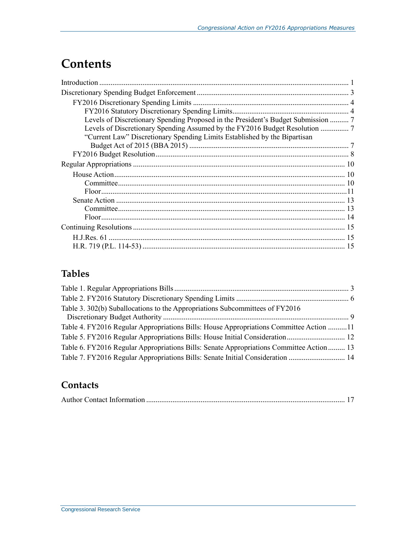# **Contents**

| Levels of Discretionary Spending Proposed in the President's Budget Submission  7 |
|-----------------------------------------------------------------------------------|
|                                                                                   |
| "Current Law" Discretionary Spending Limits Established by the Bipartisan         |
|                                                                                   |
|                                                                                   |
|                                                                                   |
|                                                                                   |
|                                                                                   |
|                                                                                   |
|                                                                                   |
|                                                                                   |
|                                                                                   |
|                                                                                   |
|                                                                                   |
|                                                                                   |

## **Tables**

| Table 3. 302(b) Suballocations to the Appropriations Subcommittees of FY2016             |  |
|------------------------------------------------------------------------------------------|--|
| Table 4. FY2016 Regular Appropriations Bills: House Appropriations Committee Action 11   |  |
| Table 5. FY2016 Regular Appropriations Bills: House Initial Consideration 12             |  |
| Table 6. FY2016 Regular Appropriations Bills: Senate Appropriations Committee Action  13 |  |
| Table 7. FY2016 Regular Appropriations Bills: Senate Initial Consideration  14           |  |

## **Contacts**

|--|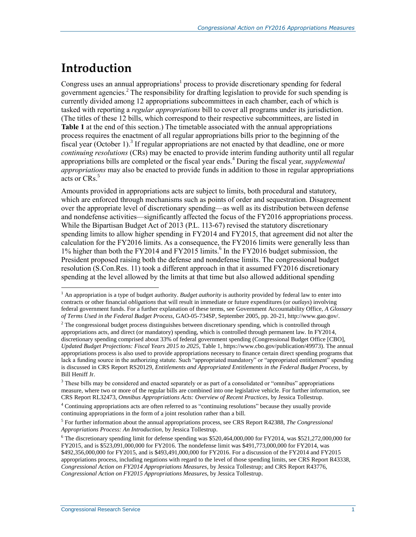# **Introduction**

 $\overline{a}$ 

Congress uses an annual appropriations<sup>1</sup> process to provide discretionary spending for federal government agencies.<sup>2</sup> The responsibility for drafting legislation to provide for such spending is currently divided among 12 appropriations subcommittees in each chamber, each of which is tasked with reporting a *regular appropriations* bill to cover all programs under its jurisdiction. (The titles of these 12 bills, which correspond to their respective subcommittees, are listed in **[Table 1](#page-5-0)** at the end of this section.) The timetable associated with the annual appropriations process requires the enactment of all regular appropriations bills prior to the beginning of the fiscal year (October 1).<sup>3</sup> If regular appropriations are not enacted by that deadline, one or more *continuing resolutions* (CRs) may be enacted to provide interim funding authority until all regular appropriations bills are completed or the fiscal year ends.<sup>4</sup> During the fiscal year, *supplemental appropriations* may also be enacted to provide funds in addition to those in regular appropriations acts or CRs. 5

Amounts provided in appropriations acts are subject to limits, both procedural and statutory, which are enforced through mechanisms such as points of order and sequestration. Disagreement over the appropriate level of discretionary spending—as well as its distribution between defense and nondefense activities—significantly affected the focus of the FY2016 appropriations process. While the Bipartisan Budget Act of 2013 (P.L. 113-67) revised the statutory discretionary spending limits to allow higher spending in FY2014 and FY2015, that agreement did not alter the calculation for the FY2016 limits. As a consequence, the FY2016 limits were generally less than 1% higher than both the FY2014 and FY2015 limits.<sup>6</sup> In the FY2016 budget submission, the President proposed raising both the defense and nondefense limits. The congressional budget resolution (S.Con.Res. 11) took a different approach in that it assumed FY2016 discretionary spending at the level allowed by the limits at that time but also allowed additional spending

<sup>&</sup>lt;sup>1</sup> An appropriation is a type of budget authority. *Budget authority* is authority provided by federal law to enter into contracts or other financial *obligations* that will result in immediate or future expenditures (or *outlays*) involving federal government funds. For a further explanation of these terms, see Government Accountability Office, *A Glossary of Terms Used in the Federal Budget Process*, GAO-05-734SP, September 2005, pp. 20-21, http://www.gao.gov/.

<sup>&</sup>lt;sup>2</sup> The congressional budget process distinguishes between discretionary spending, which is controlled through appropriations acts, and direct (or mandatory) spending, which is controlled through permanent law. In FY2014, discretionary spending comprised about 33% of federal government spending (Congressional Budget Office [CBO], *Updated Budget Projections: Fiscal Years 2015 to 2025*, Table 1, https://www.cbo.gov/publication/49973). The annual appropriations process is also used to provide appropriations necessary to finance certain direct spending programs that lack a funding source in the authorizing statute. Such "appropriated mandatory" or "appropriated entitlement" spending is discussed in CRS Report RS20129, *Entitlements and Appropriated Entitlements in the Federal Budget Process*, by Bill Heniff Jr.

<sup>&</sup>lt;sup>3</sup> These bills may be considered and enacted separately or as part of a consolidated or "omnibus" appropriations measure, where two or more of the regular bills are combined into one legislative vehicle. For further information, see CRS Report RL32473, *Omnibus Appropriations Acts: Overview of Recent Practices*, by Jessica Tollestrup.

<sup>4</sup> Continuing appropriations acts are often referred to as "continuing resolutions" because they usually provide continuing appropriations in the form of a joint resolution rather than a bill.

<sup>5</sup> For further information about the annual appropriations process, see CRS Report R42388, *The Congressional Appropriations Process: An Introduction*, by Jessica Tollestrup.

<sup>6</sup> The discretionary spending limit for defense spending was \$520,464,000,000 for FY2014, was \$521,272,000,000 for FY2015, and is \$523,091,000,000 for FY2016. The nondefense limit was \$491,773,000,000 for FY2014, was \$492,356,000,000 for FY2015, and is \$493,491,000,000 for FY2016. For a discussion of the FY2014 and FY2015 appropriations process, including negations with regard to the level of those spending limits, see CRS Report R43338, *Congressional Action on FY2014 Appropriations Measures*, by Jessica Tollestrup; and CRS Report R43776, *Congressional Action on FY2015 Appropriations Measures*, by Jessica Tollestrup.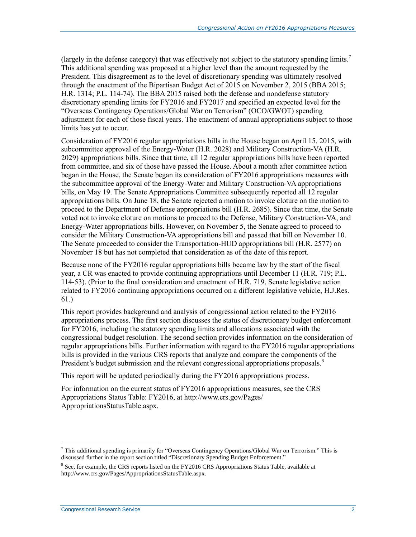(largely in the defense category) that was effectively not subject to the statutory spending limits.<sup>7</sup> This additional spending was proposed at a higher level than the amount requested by the President. This disagreement as to the level of discretionary spending was ultimately resolved through the enactment of the Bipartisan Budget Act of 2015 on November 2, 2015 (BBA 2015; H.R. 1314; P.L. 114-74). The BBA 2015 raised both the defense and nondefense statutory discretionary spending limits for FY2016 and FY2017 and specified an expected level for the "Overseas Contingency Operations/Global War on Terrorism" (OCO/GWOT) spending adjustment for each of those fiscal years. The enactment of annual appropriations subject to those limits has yet to occur.

Consideration of FY2016 regular appropriations bills in the House began on April 15, 2015, with subcommittee approval of the Energy-Water (H.R. 2028) and Military Construction-VA (H.R. 2029) appropriations bills. Since that time, all 12 regular appropriations bills have been reported from committee, and six of those have passed the House. About a month after committee action began in the House, the Senate began its consideration of FY2016 appropriations measures with the subcommittee approval of the Energy-Water and Military Construction-VA appropriations bills, on May 19. The Senate Appropriations Committee subsequently reported all 12 regular appropriations bills. On June 18, the Senate rejected a motion to invoke cloture on the motion to proceed to the Department of Defense appropriations bill (H.R. 2685). Since that time, the Senate voted not to invoke cloture on motions to proceed to the Defense, Military Construction-VA, and Energy-Water appropriations bills. However, on November 5, the Senate agreed to proceed to consider the Military Construction-VA appropriations bill and passed that bill on November 10. The Senate proceeded to consider the Transportation-HUD appropriations bill (H.R. 2577) on November 18 but has not completed that consideration as of the date of this report.

Because none of the FY2016 regular appropriations bills became law by the start of the fiscal year, a CR was enacted to provide continuing appropriations until December 11 (H.R. 719; P.L. 114-53). (Prior to the final consideration and enactment of H.R. 719, Senate legislative action related to FY2016 continuing appropriations occurred on a different legislative vehicle, H.J.Res. 61.)

This report provides background and analysis of congressional action related to the FY2016 appropriations process. The first section discusses the status of discretionary budget enforcement for FY2016, including the statutory spending limits and allocations associated with the congressional budget resolution. The second section provides information on the consideration of regular appropriations bills. Further information with regard to the FY2016 regular appropriations bills is provided in the various CRS reports that analyze and compare the components of the President's budget submission and the relevant congressional appropriations proposals.<sup>8</sup>

This report will be updated periodically during the FY2016 appropriations process.

For information on the current status of FY2016 appropriations measures, see the CRS Appropriations Status Table: FY2016, at http://www.crs.gov/Pages/ AppropriationsStatusTable.aspx.

 $\overline{a}$ <sup>7</sup> This additional spending is primarily for "Overseas Contingency Operations/Global War on Terrorism." This is discussed further in the report section titled ["Discretionary Spending Budget Enforcement."](#page-5-1)

<sup>&</sup>lt;sup>8</sup> See, for example, the CRS reports listed on the FY2016 CRS Appropriations Status Table, available at http://www.crs.gov/Pages/AppropriationsStatusTable.aspx.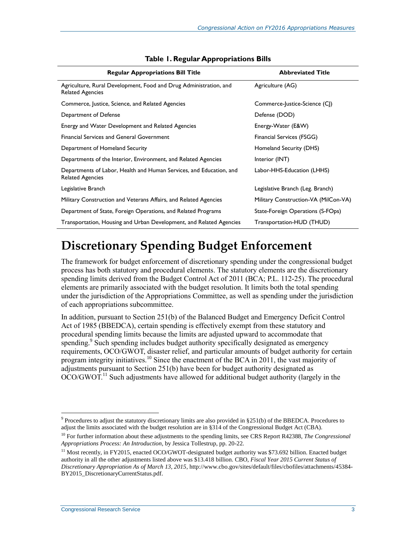<span id="page-5-0"></span>

| <b>Regular Appropriations Bill Title</b>                                                       | <b>Abbreviated Title</b>             |
|------------------------------------------------------------------------------------------------|--------------------------------------|
| Agriculture, Rural Development, Food and Drug Administration, and<br><b>Related Agencies</b>   | Agriculture (AG)                     |
| Commerce, Justice, Science, and Related Agencies                                               | Commerce-Justice-Science (CJ)        |
| Department of Defense                                                                          | Defense (DOD)                        |
| Energy and Water Development and Related Agencies                                              | Energy-Water (E&W)                   |
| <b>Financial Services and General Government</b>                                               | Financial Services (FSGG)            |
| Department of Homeland Security                                                                | Homeland Security (DHS)              |
| Departments of the Interior, Environment, and Related Agencies                                 | Interior (INT)                       |
| Departments of Labor, Health and Human Services, and Education, and<br><b>Related Agencies</b> | Labor-HHS-Education (LHHS)           |
| Legislative Branch                                                                             | Legislative Branch (Leg. Branch)     |
| Military Construction and Veterans Affairs, and Related Agencies                               | Military Construction-VA (MilCon-VA) |
| Department of State, Foreign Operations, and Related Programs                                  | State-Foreign Operations (S-FOps)    |
| Transportation, Housing and Urban Development, and Related Agencies                            | Transportation-HUD (THUD)            |

#### **Table 1. Regular Appropriations Bills**

# <span id="page-5-1"></span>**Discretionary Spending Budget Enforcement**

The framework for budget enforcement of discretionary spending under the congressional budget process has both statutory and procedural elements. The statutory elements are the discretionary spending limits derived from the Budget Control Act of 2011 (BCA; P.L. 112-25). The procedural elements are primarily associated with the budget resolution. It limits both the total spending under the jurisdiction of the Appropriations Committee, as well as spending under the jurisdiction of each appropriations subcommittee.

In addition, pursuant to Section 251(b) of the Balanced Budget and Emergency Deficit Control Act of 1985 (BBEDCA), certain spending is effectively exempt from these statutory and procedural spending limits because the limits are adjusted upward to accommodate that spending.<sup>9</sup> Such spending includes budget authority specifically designated as emergency requirements, OCO/GWOT, disaster relief, and particular amounts of budget authority for certain program integrity initiatives.<sup>10</sup> Since the enactment of the BCA in 2011, the vast majority of adjustments pursuant to Section 251(b) have been for budget authority designated as  $OCO/GWOT<sup>11</sup>$  Such adjustments have allowed for additional budget authority (largely in the

<sup>&</sup>lt;sup>9</sup> Procedures to adjust the statutory discretionary limits are also provided in §251(b) of the BBEDCA. Procedures to adjust the limits associated with the budget resolution are in §314 of the Congressional Budget Act (CBA).

<sup>10</sup> For further information about these adjustments to the spending limits, see CRS Report R42388, *The Congressional Appropriations Process: An Introduction*, by Jessica Tollestrup, pp. 20-22.

<sup>&</sup>lt;sup>11</sup> Most recently, in FY2015, enacted OCO/GWOT-designated budget authority was \$73.692 billion. Enacted budget authority in all the other adjustments listed above was \$13.418 billion. CBO, *Fiscal Year 2015 Current Status of Discretionary Appropriation As of March 13, 2015*, http://www.cbo.gov/sites/default/files/cbofiles/attachments/45384- BY2015\_DiscretionaryCurrentStatus.pdf.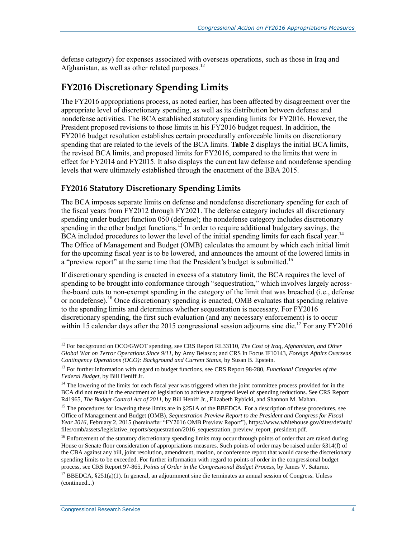defense category) for expenses associated with overseas operations, such as those in Iraq and Afghanistan, as well as other related purposes.<sup>12</sup>

## **FY2016 Discretionary Spending Limits**

The FY2016 appropriations process, as noted earlier, has been affected by disagreement over the appropriate level of discretionary spending, as well as its distribution between defense and nondefense activities. The BCA established statutory spending limits for FY2016. However, the President proposed revisions to those limits in his FY2016 budget request. In addition, the FY2016 budget resolution establishes certain procedurally enforceable limits on discretionary spending that are related to the levels of the BCA limits. **[Table 2](#page-8-0)** displays the initial BCA limits, the revised BCA limits, and proposed limits for FY2016, compared to the limits that were in effect for FY2014 and FY2015. It also displays the current law defense and nondefense spending levels that were ultimately established through the enactment of the BBA 2015.

### **FY2016 Statutory Discretionary Spending Limits**

The BCA imposes separate limits on defense and nondefense discretionary spending for each of the fiscal years from FY2012 through FY2021. The defense category includes all discretionary spending under budget function 050 (defense); the nondefense category includes discretionary spending in the other budget functions.<sup>13</sup> In order to require additional budgetary savings, the BCA included procedures to lower the level of the initial spending limits for each fiscal year.<sup>14</sup> The Office of Management and Budget (OMB) calculates the amount by which each initial limit for the upcoming fiscal year is to be lowered, and announces the amount of the lowered limits in a "preview report" at the same time that the President's budget is submitted.<sup>15</sup>

If discretionary spending is enacted in excess of a statutory limit, the BCA requires the level of spending to be brought into conformance through "sequestration," which involves largely acrossthe-board cuts to non-exempt spending in the category of the limit that was breached (i.e., defense or nondefense).<sup>16</sup> Once discretionary spending is enacted, OMB evaluates that spending relative to the spending limits and determines whether sequestration is necessary. For FY2016 discretionary spending, the first such evaluation (and any necessary enforcement) is to occur within 15 calendar days after the 2015 congressional session adjourns sine die.<sup>17</sup> For any FY2016

<sup>12</sup> For background on OCO/GWOT spending, see CRS Report RL33110, *The Cost of Iraq, Afghanistan, and Other Global War on Terror Operations Since 9/11*, by Amy Belasco; and CRS In Focus IF10143, *Foreign Affairs Overseas Contingency Operations (OCO): Background and Current Status*, by Susan B. Epstein.

<sup>13</sup> For further information with regard to budget functions, see CRS Report 98-280, *Functional Categories of the Federal Budget*, by Bill Heniff Jr.

<sup>&</sup>lt;sup>14</sup> The lowering of the limits for each fiscal year was triggered when the joint committee process provided for in the BCA did not result in the enactment of legislation to achieve a targeted level of spending reductions. See CRS Report R41965, *The Budget Control Act of 2011*, by Bill Heniff Jr., Elizabeth Rybicki, and Shannon M. Mahan.

<sup>&</sup>lt;sup>15</sup> The procedures for lowering these limits are in §251A of the BBEDCA. For a description of these procedures, see Office of Management and Budget (OMB), *Sequestration Preview Report to the President and Congress for Fiscal Year 2016*, February 2, 2015 (hereinafter "FY2016 OMB Preview Report"), https://www.whitehouse.gov/sites/default/ files/omb/assets/legislative\_reports/sequestration/2016\_sequestration\_preview\_report\_president.pdf.

<sup>&</sup>lt;sup>16</sup> Enforcement of the statutory discretionary spending limits may occur through points of order that are raised during House or Senate floor consideration of appropriations measures. Such points of order may be raised under §314(f) of the CBA against any bill, joint resolution, amendment, motion, or conference report that would cause the discretionary spending limits to be exceeded. For further information with regard to points of order in the congressional budget process, see CRS Report 97-865, *Points of Order in the Congressional Budget Process*, by James V. Saturno.

<sup>&</sup>lt;sup>17</sup> BBEDCA, §251(a)(1). In general, an adjournment sine die terminates an annual session of Congress. Unless (continued...)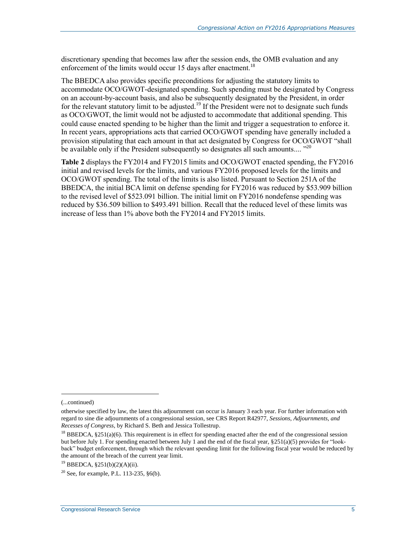discretionary spending that becomes law after the session ends, the OMB evaluation and any enforcement of the limits would occur 15 days after enactment.<sup>18</sup>

The BBEDCA also provides specific preconditions for adjusting the statutory limits to accommodate OCO/GWOT-designated spending. Such spending must be designated by Congress on an account-by-account basis, and also be subsequently designated by the President, in order for the relevant statutory limit to be adjusted.<sup>19</sup> If the President were not to designate such funds as OCO/GWOT, the limit would not be adjusted to accommodate that additional spending. This could cause enacted spending to be higher than the limit and trigger a sequestration to enforce it. In recent years, appropriations acts that carried OCO/GWOT spending have generally included a provision stipulating that each amount in that act designated by Congress for OCO/GWOT "shall be available only if the President subsequently so designates all such amounts.... "<sup>20</sup>

**[Table 2](#page-8-0)** displays the FY2014 and FY2015 limits and OCO/GWOT enacted spending, the FY2016 initial and revised levels for the limits, and various FY2016 proposed levels for the limits and OCO/GWOT spending. The total of the limits is also listed. Pursuant to Section 251A of the BBEDCA, the initial BCA limit on defense spending for FY2016 was reduced by \$53.909 billion to the revised level of \$523.091 billion. The initial limit on FY2016 nondefense spending was reduced by \$36.509 billion to \$493.491 billion. Recall that the reduced level of these limits was increase of less than 1% above both the FY2014 and FY2015 limits.

<sup>(...</sup>continued)

otherwise specified by law, the latest this adjournment can occur is January 3 each year. For further information with regard to sine die adjournments of a congressional session, see CRS Report R42977, *Sessions, Adjournments, and Recesses of Congress*, by Richard S. Beth and Jessica Tollestrup.

 $18$  BBEDCA, §251(a)(6). This requirement is in effect for spending enacted after the end of the congressional session but before July 1. For spending enacted between July 1 and the end of the fiscal year, §251(a)(5) provides for "lookback" budget enforcement, through which the relevant spending limit for the following fiscal year would be reduced by the amount of the breach of the current year limit.

<sup>19</sup> BBEDCA, §251(b)(2)(A)(ii).

<sup>&</sup>lt;sup>20</sup> See, for example, P.L. 113-235,  $§6(b)$ .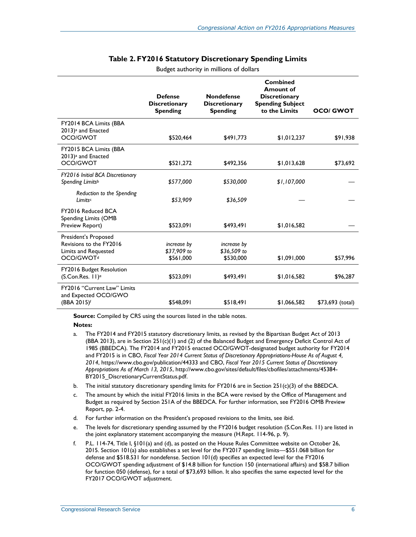<span id="page-8-0"></span>

|                                                                                                  | <b>Defense</b><br><b>Discretionary</b><br><b>Spending</b> | <b>Nondefense</b><br><b>Discretionary</b><br><b>Spending</b> | <b>Combined</b><br><b>Amount of</b><br><b>Discretionary</b><br><b>Spending Subject</b><br>to the Limits | <b>OCO/ GWOT</b>  |
|--------------------------------------------------------------------------------------------------|-----------------------------------------------------------|--------------------------------------------------------------|---------------------------------------------------------------------------------------------------------|-------------------|
| FY2014 BCA Limits (BBA<br>2013) <sup>a</sup> and Enacted<br>OCO/GWOT                             | \$520,464                                                 | \$491,773                                                    | \$1,012,237                                                                                             | \$91,938          |
| FY2015 BCA Limits (BBA<br>2013) <sup>a</sup> and Enacted<br>OCO/GWOT                             | \$521,272                                                 | \$492,356                                                    | \$1,013,628                                                                                             | \$73,692          |
| FY2016 Initial BCA Discretionary<br>Spending Limitsb                                             | \$577,000                                                 | \$530,000                                                    | \$1,107,000                                                                                             |                   |
| Reduction to the Spending<br>Limitsc                                                             | \$53,909                                                  | \$36,509                                                     |                                                                                                         |                   |
| FY2016 Reduced BCA<br>Spending Limits (OMB<br>Preview Report)                                    | \$523,091                                                 | \$493,491                                                    | \$1,016,582                                                                                             |                   |
| President's Proposed<br>Revisions to the FY2016<br>Limits and Requested<br>OCO/GWOT <sup>d</sup> | increase by<br>\$37,909 to<br>\$561,000                   | increase by<br>\$36,509 to<br>\$530,000                      | \$1,091,000                                                                                             | \$57,996          |
| FY2016 Budget Resolution<br>(S.Con.Res. 11) <sup>e</sup>                                         | \$523,091                                                 | \$493,491                                                    | \$1,016,582                                                                                             | \$96,287          |
| FY2016 "Current Law" Limits<br>and Expected OCO/GWO<br>(BBA 2015)f                               | \$548,091                                                 | \$518,491                                                    | \$1,066,582                                                                                             | $$73,693$ (total) |

#### **Table 2. FY2016 Statutory Discretionary Spending Limits** Budget authority in millions of dollars

**Source:** Compiled by CRS using the sources listed in the table notes.

#### **Notes:**

- <span id="page-8-1"></span>a. The FY2014 and FY2015 statutory discretionary limits, as revised by the Bipartisan Budget Act of 2013 (BBA 2013), are in Section 251(c)(1) and (2) of the Balanced Budget and Emergency Deficit Control Act of 1985 (BBEDCA). The FY2014 and FY2015 enacted OCO/GWOT-designated budget authority for FY2014 and FY2015 is in CBO, *Fiscal Year 2014 Current Status of Discretionary Appropriations-House As of August 4, 2014*, https://www.cbo.gov/publication/44333 and CBO, *Fiscal Year 2015 Current Status of Discretionary Appropriations As of March 13, 2015*, http://www.cbo.gov/sites/default/files/cbofiles/attachments/45384- BY2015\_DiscretionaryCurrentStatus.pdf.
- <span id="page-8-2"></span>b. The initial statutory discretionary spending limits for FY2016 are in Section 251(c)(3) of the BBEDCA.
- <span id="page-8-3"></span>c. The amount by which the initial FY2016 limits in the BCA were revised by the Office of Management and Budget as required by Section 251A of the BBEDCA. For further information, see FY2016 OMB Preview Report, pp. 2-4.
- <span id="page-8-4"></span>d. For further information on the President's proposed revisions to the limits, see ibid.
- <span id="page-8-5"></span>e. The levels for discretionary spending assumed by the FY2016 budget resolution (S.Con.Res. 11) are listed in the joint explanatory statement accompanying the measure (H.Rept. 114-96, p. 9).
- <span id="page-8-6"></span>f. P.L. 114-74, Title I, §101(a) and (d), as posted on the House Rules Committee website on October 26, 2015. Section 101(a) also establishes a set level for the FY2017 spending limits—\$551.068 billion for defense and \$518.531 for nondefense. Section 101(d) specifies an expected level for the FY2016 OCO/GWOT spending adjustment of \$14.8 billion for function 150 (international affairs) and \$58.7 billion for function 050 (defense), for a total of \$73,693 billion. It also specifies the same expected level for the FY2017 OCO/GWOT adjustment.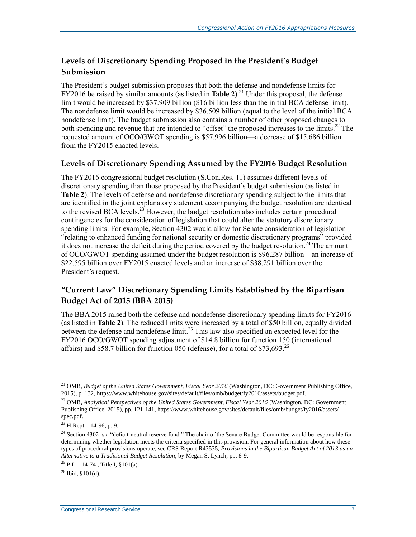### **Levels of Discretionary Spending Proposed in the President's Budget Submission**

The President's budget submission proposes that both the defense and nondefense limits for FY2016 be raised by similar amounts (as listed in **[Table 2](#page-8-0)**).<sup>21</sup> Under this proposal, the defense limit would be increased by \$37.909 billion (\$16 billion less than the initial BCA defense limit). The nondefense limit would be increased by \$36.509 billion (equal to the level of the initial BCA nondefense limit). The budget submission also contains a number of other proposed changes to both spending and revenue that are intended to "offset" the proposed increases to the limits.<sup>22</sup> The requested amount of OCO/GWOT spending is \$57.996 billion—a decrease of \$15.686 billion from the FY2015 enacted levels.

### **Levels of Discretionary Spending Assumed by the FY2016 Budget Resolution**

The FY2016 congressional budget resolution (S.Con.Res. 11) assumes different levels of discretionary spending than those proposed by the President's budget submission (as listed in **[Table 2](#page-8-0)**). The levels of defense and nondefense discretionary spending subject to the limits that are identified in the joint explanatory statement accompanying the budget resolution are identical to the revised BCA levels.<sup>23</sup> However, the budget resolution also includes certain procedural contingencies for the consideration of legislation that could alter the statutory discretionary spending limits. For example, Section 4302 would allow for Senate consideration of legislation "relating to enhanced funding for national security or domestic discretionary programs" provided it does not increase the deficit during the period covered by the budget resolution.<sup>24</sup> The amount of OCO/GWOT spending assumed under the budget resolution is \$96.287 billion—an increase of \$22.595 billion over FY2015 enacted levels and an increase of \$38.291 billion over the President's request.

### **"Current Law" Discretionary Spending Limits Established by the Bipartisan Budget Act of 2015 (BBA 2015)**

The BBA 2015 raised both the defense and nondefense discretionary spending limits for FY2016 (as listed in **[Table 2](#page-8-0)**). The reduced limits were increased by a total of \$50 billion, equally divided between the defense and nondefense limit.<sup>25</sup> This law also specified an expected level for the FY2016 OCO/GWOT spending adjustment of \$14.8 billion for function 150 (international affairs) and \$58.7 billion for function 050 (defense), for a total of \$73,693.<sup>26</sup>

 $\overline{a}$ <sup>21</sup> OMB, *Budget of the United States Government, Fiscal Year 2016* (Washington, DC: Government Publishing Office, 2015), p. 132, https://www.whitehouse.gov/sites/default/files/omb/budget/fy2016/assets/budget.pdf.

<sup>22</sup> OMB, *Analytical Perspectives of the United States Government, Fiscal Year 2016* (Washington, DC: Government Publishing Office, 2015), pp. 121-141, https://www.whitehouse.gov/sites/default/files/omb/budget/fy2016/assets/ spec.pdf.

<sup>23</sup> H.Rept. 114-96, p. 9.

<sup>&</sup>lt;sup>24</sup> Section 4302 is a "deficit-neutral reserve fund." The chair of the Senate Budget Committee would be responsible for determining whether legislation meets the criteria specified in this provision. For general information about how these types of procedural provisions operate, see CRS Report R43535, *Provisions in the Bipartisan Budget Act of 2013 as an Alternative to a Traditional Budget Resolution*, by Megan S. Lynch, pp. 8-9.

<sup>25</sup> P.L. 114-74 , Title I, §101(a).

 $26$  Ibid,  $$101(d)$ .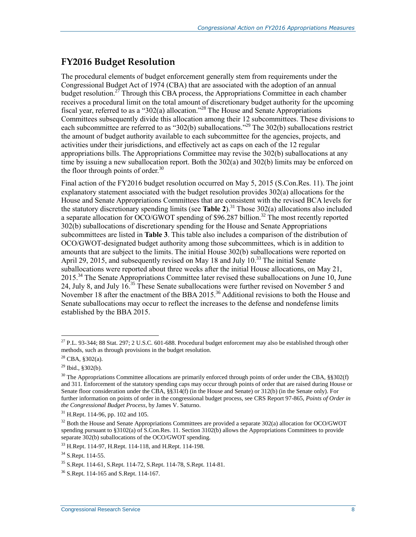### **FY2016 Budget Resolution**

The procedural elements of budget enforcement generally stem from requirements under the Congressional Budget Act of 1974 (CBA) that are associated with the adoption of an annual budget resolution.<sup>27</sup> Through this CBA process, the Appropriations Committee in each chamber receives a procedural limit on the total amount of discretionary budget authority for the upcoming fiscal year, referred to as a "302(a) allocation.<sup>328</sup> The House and Senate Appropriations Committees subsequently divide this allocation among their 12 subcommittees. These divisions to each subcommittee are referred to as "302(b) suballocations."<sup>29</sup> The 302(b) suballocations restrict the amount of budget authority available to each subcommittee for the agencies, projects, and activities under their jurisdictions, and effectively act as caps on each of the 12 regular appropriations bills. The Appropriations Committee may revise the 302(b) suballocations at any time by issuing a new suballocation report. Both the 302(a) and 302(b) limits may be enforced on the floor through points of order. $30$ 

Final action of the FY2016 budget resolution occurred on May 5, 2015 (S.Con.Res. 11). The joint explanatory statement associated with the budget resolution provides 302(a) allocations for the House and Senate Appropriations Committees that are consistent with the revised BCA levels for the statutory discretionary spending limits (see **[Table 2](#page-8-0)**).<sup>31</sup> Those 302(a) allocations also included a separate allocation for  $\overline{OCO/GWOT}$  spending of \$96.287 billion.<sup>32</sup> The most recently reported 302(b) suballocations of discretionary spending for the House and Senate Appropriations subcommittees are listed in **[Table 3](#page-11-0)**. This table also includes a comparison of the distribution of OCO/GWOT-designated budget authority among those subcommittees, which is in addition to amounts that are subject to the limits. The initial House 302(b) suballocations were reported on April 29, 2015, and subsequently revised on May 18 and July 10.<sup>33</sup> The initial Senate suballocations were reported about three weeks after the initial House allocations, on May 21,  $2015<sup>34</sup>$  The Senate Appropriations Committee later revised these suballocations on June 10, June 24, July 8, and July 16.<sup>35</sup> These Senate suballocations were further revised on November 5 and November 18 after the enactment of the BBA 2015.<sup>36</sup> Additional revisions to both the House and Senate suballocations may occur to reflect the increases to the defense and nondefense limits established by the BBA 2015.

<sup>&</sup>lt;sup>27</sup> P.L. 93-344; 88 Stat. 297; 2 U.S.C. 601-688. Procedural budget enforcement may also be established through other methods, such as through provisions in the budget resolution.

 $^{28}$  CBA, §302(a).

 $29$  Ibid., §302(b).

 $30$  The Appropriations Committee allocations are primarily enforced through points of order under the CBA,  $\S$ §302(f) and 311. Enforcement of the statutory spending caps may occur through points of order that are raised during House or Senate floor consideration under the CBA, §§314(f) (in the House and Senate) or 312(b) (in the Senate only). For further information on points of order in the congressional budget process, see CRS Report 97-865, *Points of Order in the Congressional Budget Process*, by James V. Saturno.

<sup>&</sup>lt;sup>31</sup> H.Rept. 114-96, pp. 102 and 105.

<sup>&</sup>lt;sup>32</sup> Both the House and Senate Appropriations Committees are provided a separate 302(a) allocation for OCO/GWOT spending pursuant to §3102(a) of S.Con.Res. 11. Section 3102(b) allows the Appropriations Committees to provide separate 302(b) suballocations of the OCO/GWOT spending.

<sup>33</sup> H.Rept. 114-97, H.Rept. 114-118, and H.Rept. 114-198.

<sup>&</sup>lt;sup>34</sup> S.Rept. 114-55.

<sup>35</sup> S.Rept. 114-61, S.Rept. 114-72, S.Rept. 114-78, S.Rept. 114-81.

<sup>36</sup> S.Rept. 114-165 and S.Rept. 114-167.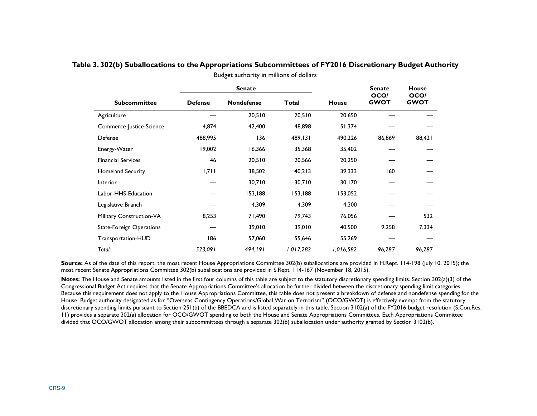|                                 |                | <b>Senate</b>     |           |              | <b>Senate</b>       | <b>House</b>        |
|---------------------------------|----------------|-------------------|-----------|--------------|---------------------|---------------------|
| <b>Subcommittee</b>             | <b>Defense</b> | <b>Nondefense</b> | Total     | <b>House</b> | OCO/<br><b>GWOT</b> | OCO/<br><b>GWOT</b> |
| Agriculture                     |                | 20,510            | 20,510    | 20,650       |                     |                     |
| Commerce-Justice-Science        | 4,874          | 42,400            | 48,898    | 51,374       |                     |                     |
| Defense                         | 488,995        | 136               | 489,131   | 490,226      | 86,869              | 88,421              |
| Energy-Water                    | 19,002         | 16,366            | 35,368    | 35,402       |                     |                     |
| <b>Financial Services</b>       | 46             | 20,510            | 20,566    | 20,250       |                     |                     |
| Homeland Security               | 1,711          | 38,502            | 40,213    | 39,333       | 160                 |                     |
| <b>Interior</b>                 |                | 30,710            | 30,710    | 30,170       |                     |                     |
| Labor-HHS-Education             |                | 153,188           | 153,188   | 153,052      |                     |                     |
| Legislative Branch              |                | 4,309             | 4,309     | 4,300        |                     |                     |
| Military Construction-VA        | 8,253          | 71,490            | 79,743    | 76,056       |                     | 532                 |
| <b>State-Foreign Operations</b> |                | 39,010            | 39,010    | 40,500       | 9,258               | 7,334               |
| Transportation-HUD              | 186            | 57,060            | 55,646    | 55,269       |                     |                     |
| Total:                          | 523,091        | 494,191           | 1,017,282 | 1,016,582    | 96,287              | 96,287              |

**Table 3. 302(b) Suballocations to the Appropriations Subcommittees of FY2016 Discretionary Budget Authority**  Budget authority in millions of dollars

<span id="page-11-0"></span>Source: As of the date of this report, the most recent House Appropriations Committee 302(b) suballocations are provided in H.Rept. 114-198 (July 10, 2015); the most recent Senate Appropriations Committee 302(b) suballocations are provided in S.Rept. 114-167 (November 18, 2015).

**Notes:** The House and Senate amounts listed in the first four columns of this table are subject to the statutory discretionary spending limits. Section 302(a)(3) of the Congressional Budget Act requires that the Senate Appropriations Committee's allocation be further divided between the discretionary spending limit categories. Because this requirement does not apply to the House Appropriations Committee, this table does not present a breakdown of defense and nondefense spending for the House. Budget authority designated as for "Overseas Contingency Operations/Global War on Terrorism" (OCO/GWOT) is effectively exempt from the statutory discretionary spending limits pursuant to Section 251(b) of the BBEDCA and is listed separately in this table. Section 3102(a) of the FY2016 budget resolution (S.Con.Res. 11) provides a separate 302(a) allocation for OCO/GWOT spending to both the House and Senate Appropriations Committees. Each Appropriations Committee divided that OCO/GWOT allocation among their subcommittees through a separate 302(b) suballocation under authority granted by Section 3102(b).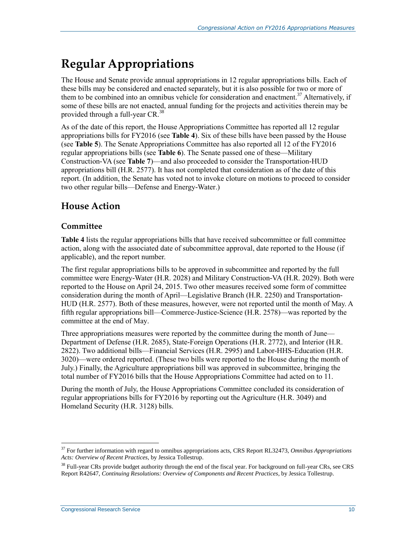# **Regular Appropriations**

The House and Senate provide annual appropriations in 12 regular appropriations bills. Each of these bills may be considered and enacted separately, but it is also possible for two or more of them to be combined into an omnibus vehicle for consideration and enactment.<sup>37</sup> Alternatively, if some of these bills are not enacted, annual funding for the projects and activities therein may be provided through a full-year CR.<sup>38</sup>

As of the date of this report, the House Appropriations Committee has reported all 12 regular appropriations bills for FY2016 (see **[Table 4](#page-13-0)**). Six of these bills have been passed by the House (see **[Table 5](#page-14-0)**). The Senate Appropriations Committee has also reported all 12 of the FY2016 regular appropriations bills (see **[Table 6](#page-15-0)**). The Senate passed one of these—Military Construction-VA (see **[Table 7](#page-16-0)**)—and also proceeded to consider the Transportation-HUD appropriations bill (H.R. 2577). It has not completed that consideration as of the date of this report. (In addition, the Senate has voted not to invoke cloture on motions to proceed to consider two other regular bills—Defense and Energy-Water.)

# **House Action**

### **Committee**

**[Table 4](#page-13-0)** lists the regular appropriations bills that have received subcommittee or full committee action, along with the associated date of subcommittee approval, date reported to the House (if applicable), and the report number.

The first regular appropriations bills to be approved in subcommittee and reported by the full committee were Energy-Water (H.R. 2028) and Military Construction-VA (H.R. 2029). Both were reported to the House on April 24, 2015. Two other measures received some form of committee consideration during the month of April—Legislative Branch (H.R. 2250) and Transportation-HUD (H.R. 2577). Both of these measures, however, were not reported until the month of May. A fifth regular appropriations bill—Commerce-Justice-Science (H.R. 2578)—was reported by the committee at the end of May.

Three appropriations measures were reported by the committee during the month of June— Department of Defense (H.R. 2685), State-Foreign Operations (H.R. 2772), and Interior (H.R. 2822). Two additional bills—Financial Services (H.R. 2995) and Labor-HHS-Education (H.R. 3020)—were ordered reported. (These two bills were reported to the House during the month of July.) Finally, the Agriculture appropriations bill was approved in subcommittee, bringing the total number of FY2016 bills that the House Appropriations Committee had acted on to 11.

During the month of July, the House Appropriations Committee concluded its consideration of regular appropriations bills for FY2016 by reporting out the Agriculture (H.R. 3049) and Homeland Security (H.R. 3128) bills.

<sup>37</sup> For further information with regard to omnibus appropriations acts, CRS Report RL32473, *Omnibus Appropriations Acts: Overview of Recent Practices*, by Jessica Tollestrup.

 $38$  Full-year CRs provide budget authority through the end of the fiscal year. For background on full-year CRs, see CRS Report R42647, *Continuing Resolutions: Overview of Components and Recent Practices*, by Jessica Tollestrup.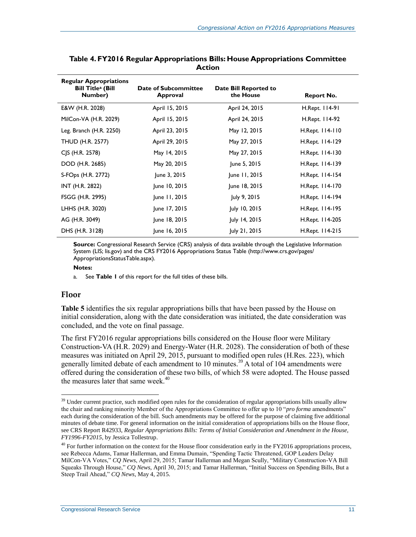| <b>Regular Appropriations</b><br><b>Bill Title<sup>a</sup></b> (Bill<br>Number) | Date of Subcommittee<br>Approval | Date Bill Reported to<br>the House | <b>Report No.</b> |
|---------------------------------------------------------------------------------|----------------------------------|------------------------------------|-------------------|
| E&W (H.R. 2028)                                                                 | April 15, 2015                   | April 24, 2015                     | H.Rept. 114-91    |
| MilCon-VA (H.R. 2029)                                                           | April 15, 2015                   | April 24, 2015                     | H.Rept. 114-92    |
| Leg. Branch (H.R. 2250)                                                         | April 23, 2015                   | May 12, 2015                       | H.Rept. 114-110   |
| <b>THUD (H.R. 2577)</b>                                                         | April 29, 2015                   | May 27, 2015                       | H.Rept. 114-129   |
| CJS (H.R. 2578)                                                                 | May 14, 2015                     | May 27, 2015                       | H.Rept. 114-130   |
| DOD (H.R. 2685)                                                                 | May 20, 2015                     | June 5, 2015                       | H.Rept. 114-139   |
| S-FOps (H.R. 2772)                                                              | June 3, 2015                     | June 11, 2015                      | H.Rept. 114-154   |
| INT (H.R. 2822)                                                                 | June 10, 2015                    | June 18, 2015                      | H.Rept. 114-170   |
| FSGG (H.R. 2995)                                                                | June 11, 2015                    | July 9, 2015                       | H.Rept. 114-194   |
| LHHS (H.R. 3020)                                                                | June 17, 2015                    | July 10, 2015                      | H.Rept. 114-195   |
| AG (H.R. 3049)                                                                  | June 18, 2015                    | July 14, 2015                      | H.Rept. 114-205   |
| DHS (H.R. 3128)                                                                 | June 16, 2015                    | July 21, 2015                      | H.Rept. 114-215   |

<span id="page-13-0"></span>**Table 4. FY2016 Regular Appropriations Bills: House Appropriations Committee Action**

**Source:** Congressional Research Service (CRS) analysis of data available through the Legislative Information System (LIS; lis.gov) and the CRS FY2016 Appropriations Status Table (http://www.crs.gov/pages/ AppropriationsStatusTable.aspx).

#### **Notes:**

<span id="page-13-1"></span>a. See **[Table 1](#page-5-0)** of this report for the full titles of these bills.

#### **Floor**

 $\overline{a}$ 

**[Table 5](#page-14-0)** identifies the six regular appropriations bills that have been passed by the House on initial consideration, along with the date consideration was initiated, the date consideration was concluded, and the vote on final passage.

The first FY2016 regular appropriations bills considered on the House floor were Military Construction-VA (H.R. 2029) and Energy-Water (H.R. 2028). The consideration of both of these measures was initiated on April 29, 2015, pursuant to modified open rules (H.Res. 223), which generally limited debate of each amendment to 10 minutes.<sup>39</sup> A total of 104 amendments were offered during the consideration of these two bills, of which 58 were adopted. The House passed the measures later that same week.<sup>40</sup>

<sup>&</sup>lt;sup>39</sup> Under current practice, such modified open rules for the consideration of regular appropriations bills usually allow the chair and ranking minority Member of the Appropriations Committee to offer up to 10 "*pro forma* amendments" each during the consideration of the bill. Such amendments may be offered for the purpose of claiming five additional minutes of debate time. For general information on the initial consideration of appropriations bills on the House floor, see CRS Report R42933, *Regular Appropriations Bills: Terms of Initial Consideration and Amendment in the House, FY1996-FY2015*, by Jessica Tollestrup.

 $40$  For further information on the context for the House floor consideration early in the FY2016 appropriations process, see Rebecca Adams, Tamar Hallerman, and Emma Dumain, "Spending Tactic Threatened, GOP Leaders Delay MilCon-VA Votes," *CQ News*, April 29, 2015; Tamar Hallerman and Megan Scully, "Military Construction-VA Bill Squeaks Through House," *CQ News*, April 30, 2015; and Tamar Hallerman, "Initial Success on Spending Bills, But a Steep Trail Ahead," *CQ News*, May 4, 2015.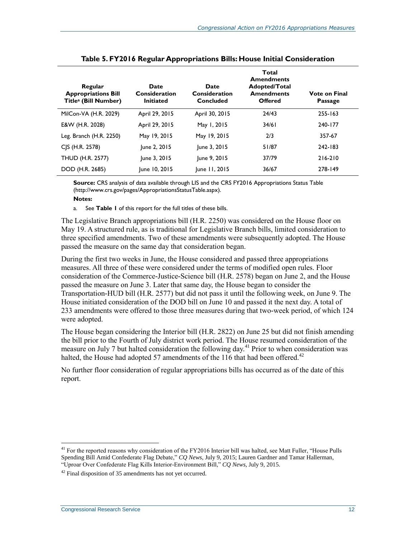<span id="page-14-0"></span>

| Regular<br><b>Appropriations Bill</b><br>Title <sup>a</sup> (Bill Number) | Date<br>Consideration<br><b>Initiated</b> | <b>Date</b><br>Consideration<br>Concluded | Total<br><b>Amendments</b><br>Adopted/Total<br><b>Amendments</b><br><b>Offered</b> | <b>Vote on Final</b><br>Passage |
|---------------------------------------------------------------------------|-------------------------------------------|-------------------------------------------|------------------------------------------------------------------------------------|---------------------------------|
| MilCon-VA (H.R. 2029)                                                     | April 29, 2015                            | April 30, 2015                            | 24/43                                                                              | $255 - 163$                     |
| E&W (H.R. 2028)                                                           | April 29, 2015                            | May 1, 2015                               | 34/61                                                                              | 240-177                         |
| Leg. Branch (H.R. 2250)                                                   | May 19, 2015                              | May 19, 2015                              | 2/3                                                                                | 357-67                          |
| CJS (H.R. 2578)                                                           | June 2, 2015                              | June 3, 2015                              | 51/87                                                                              | 242-183                         |
| THUD (H.R. 2577)                                                          | June 3, 2015                              | June 9, 2015                              | 37/79                                                                              | 216-210                         |
| DOD (H.R. 2685)                                                           | June 10, 2015                             | June 11, 2015                             | 36/67                                                                              | 278-149                         |

| Table 5. FY2016 Regular Appropriations Bills: House Initial Consideration |
|---------------------------------------------------------------------------|
|---------------------------------------------------------------------------|

**Source:** CRS analysis of data available through LIS and the CRS FY2016 Appropriations Status Table (http://www.crs.gov/pages/AppropriationsStatusTable.aspx).

#### **Notes:**

a. See **[Table 1](#page-5-0)** of this report for the full titles of these bills.

<span id="page-14-1"></span>The Legislative Branch appropriations bill (H.R. 2250) was considered on the House floor on May 19. A structured rule, as is traditional for Legislative Branch bills, limited consideration to three specified amendments. Two of these amendments were subsequently adopted. The House passed the measure on the same day that consideration began.

During the first two weeks in June, the House considered and passed three appropriations measures. All three of these were considered under the terms of modified open rules. Floor consideration of the Commerce-Justice-Science bill (H.R. 2578) began on June 2, and the House passed the measure on June 3. Later that same day, the House began to consider the Transportation-HUD bill (H.R. 2577) but did not pass it until the following week, on June 9. The House initiated consideration of the DOD bill on June 10 and passed it the next day. A total of 233 amendments were offered to those three measures during that two-week period, of which 124 were adopted.

The House began considering the Interior bill (H.R. 2822) on June 25 but did not finish amending the bill prior to the Fourth of July district work period. The House resumed consideration of the measure on July 7 but halted consideration the following day.<sup>41</sup> Prior to when consideration was halted, the House had adopted 57 amendments of the 116 that had been offered.<sup>42</sup>

No further floor consideration of regular appropriations bills has occurred as of the date of this report.

 $41$  For the reported reasons why consideration of the FY2016 Interior bill was halted, see Matt Fuller, "House Pulls" Spending Bill Amid Confederate Flag Debate," *CQ News*, July 9, 2015; Lauren Gardner and Tamar Hallerman, "Uproar Over Confederate Flag Kills Interior-Environment Bill," *CQ News*, July 9, 2015.

 $42$  Final disposition of 35 amendments has not yet occurred.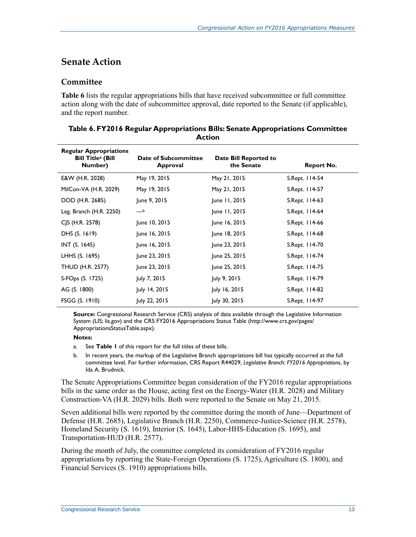### **Senate Action**

### **Committee**

**[Table 6](#page-15-0)** lists the regular appropriations bills that have received subcommittee or full committee action along with the date of subcommittee approval, date reported to the Senate (if applicable), and the report number.

| <b>Regular Appropriations</b><br><b>Bill Title<sup>a</sup></b> (Bill<br>Number) | Date of Subcommittee<br>Approval | Date Bill Reported to<br>the Senate | <b>Report No.</b> |
|---------------------------------------------------------------------------------|----------------------------------|-------------------------------------|-------------------|
| E&W (H.R. 2028)                                                                 | May 19, 2015                     | May 21, 2015                        | S.Rept. 114-54    |
| MilCon-VA (H.R. 2029)                                                           | May 19, 2015                     | May 21, 2015                        | S.Rept. 114-57    |
| DOD (H.R. 2685)                                                                 | June 9, 2015                     | June 11, 2015                       | S.Rept. 114-63    |
| Leg. Branch (H.R. 2250)                                                         | $-b$                             | June 11, 2015                       | S.Rept. 114-64    |
| CJS (H.R. 2578)                                                                 | June 10, 2015                    | June 16, 2015                       | S.Rept. 114-66    |
| DHS (S. 1619)                                                                   | June 16, 2015                    | June 18, 2015                       | S.Rept. 114-68    |
| <b>INT (S. 1645)</b>                                                            | June 16, 2015                    | June 23, 2015                       | S.Rept. 114-70    |
| LHHS (S. 1695)                                                                  | June 23, 2015                    | June 25, 2015                       | S.Rept. 114-74    |
| <b>THUD (H.R. 2577)</b>                                                         | June 23, 2015                    | June 25, 2015                       | S.Rept. 114-75    |
| S-FOps (S. 1725)                                                                | July 7, 2015                     | July 9, 2015                        | S.Rept. 114-79    |
| AG (S. 1800)                                                                    | July 14, 2015                    | July 16, 2015                       | S.Rept. 114-82    |
| FSGG (S. 1910)                                                                  | July 22, 2015                    | July 30, 2015                       | S.Rept. 114-97    |

#### <span id="page-15-0"></span>**Table 6. FY2016 Regular Appropriations Bills: Senate Appropriations Committee Action**

**Source:** Congressional Research Service (CRS) analysis of data available through the Legislative Information System (LIS; lis.gov) and the CRS FY2016 Appropriations Status Table (http://www.crs.gov/pages/ AppropriationsStatusTable.aspx).

#### **Notes:**

- <span id="page-15-1"></span>a. See **[Table 1](#page-5-0)** of this report for the full titles of these bills.
- <span id="page-15-2"></span>b. In recent years, the markup of the Legislative Branch appropriations bill has typically occurred at the full committee level. For further information, CRS Report R44029, *Legislative Branch: FY2016 Appropriations*, by Ida A. Brudnick.

The Senate Appropriations Committee began consideration of the FY2016 regular appropriations bills in the same order as the House, acting first on the Energy-Water (H.R. 2028) and Military Construction-VA (H.R. 2029) bills. Both were reported to the Senate on May 21, 2015.

Seven additional bills were reported by the committee during the month of June—Department of Defense (H.R. 2685), Legislative Branch (H.R. 2250), Commerce-Justice-Science (H.R. 2578), Homeland Security (S. 1619), Interior (S. 1645), Labor-HHS-Education (S. 1695), and Transportation-HUD (H.R. 2577).

During the month of July, the committee completed its consideration of FY2016 regular appropriations by reporting the State-Foreign Operations (S. 1725), Agriculture (S. 1800), and Financial Services (S. 1910) appropriations bills.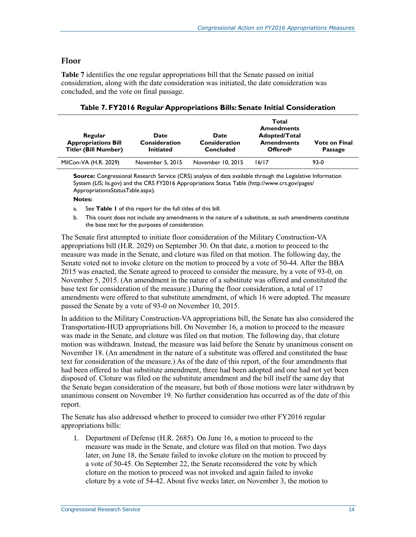#### **Floor**

**[Table 7](#page-16-0)** identifies the one regular appropriations bill that the Senate passed on initial consideration, along with the date consideration was initiated, the date consideration was concluded, and the vote on final passage.

<span id="page-16-0"></span>

| Regular<br><b>Appropriations Bill</b><br>Title <sup>a</sup> (Bill Number) | Date<br><b>Consideration</b><br><b>Initiated</b> | <b>Date</b><br><b>Consideration</b><br>Concluded | Total<br><b>Amendments</b><br>Adopted/Total<br><b>Amendments</b><br><b>Offered</b> <sup>b</sup> | <b>Vote on Final</b><br>Passage |
|---------------------------------------------------------------------------|--------------------------------------------------|--------------------------------------------------|-------------------------------------------------------------------------------------------------|---------------------------------|
| MilCon-VA (H.R. 2029)                                                     | November 5, 2015                                 | November 10, 2015                                | 16/17                                                                                           | $93-0$                          |

**Source:** Congressional Research Service (CRS) analysis of data available through the Legislative Information System (LIS; lis.gov) and the CRS FY2016 Appropriations Status Table (http://www.crs.gov/pages/ AppropriationsStatusTable.aspx).

#### **Notes:**

- <span id="page-16-1"></span>a. See **[Table 1](#page-5-0)** of this report for the full titles of this bill.
- <span id="page-16-2"></span>b. This count does not include any amendments in the nature of a substitute, as such amendments constitute the base text for the purposes of consideration.

The Senate first attempted to initiate floor consideration of the Military Construction-VA appropriations bill (H.R. 2029) on September 30. On that date, a motion to proceed to the measure was made in the Senate, and cloture was filed on that motion. The following day, the Senate voted not to invoke cloture on the motion to proceed by a vote of 50-44. After the BBA 2015 was enacted, the Senate agreed to proceed to consider the measure, by a vote of 93-0, on November 5, 2015. (An amendment in the nature of a substitute was offered and constituted the base text for consideration of the measure.) During the floor consideration, a total of 17 amendments were offered to that substitute amendment, of which 16 were adopted. The measure passed the Senate by a vote of 93-0 on November 10, 2015.

In addition to the Military Construction-VA appropriations bill, the Senate has also considered the Transportation-HUD appropriations bill. On November 16, a motion to proceed to the measure was made in the Senate, and cloture was filed on that motion. The following day, that cloture motion was withdrawn. Instead, the measure was laid before the Senate by unanimous consent on November 18. (An amendment in the nature of a substitute was offered and constituted the base text for consideration of the measure.) As of the date of this report, of the four amendments that had been offered to that substitute amendment, three had been adopted and one had not yet been disposed of. Cloture was filed on the substitute amendment and the bill itself the same day that the Senate began consideration of the measure, but both of those motions were later withdrawn by unanimous consent on November 19. No further consideration has occurred as of the date of this report.

The Senate has also addressed whether to proceed to consider two other FY2016 regular appropriations bills:

1. Department of Defense (H.R. 2685). On June 16, a motion to proceed to the measure was made in the Senate, and cloture was filed on that motion. Two days later, on June 18, the Senate failed to invoke cloture on the motion to proceed by a vote of 50-45. On September 22, the Senate reconsidered the vote by which cloture on the motion to proceed was not invoked and again failed to invoke cloture by a vote of 54-42. About five weeks later, on November 3, the motion to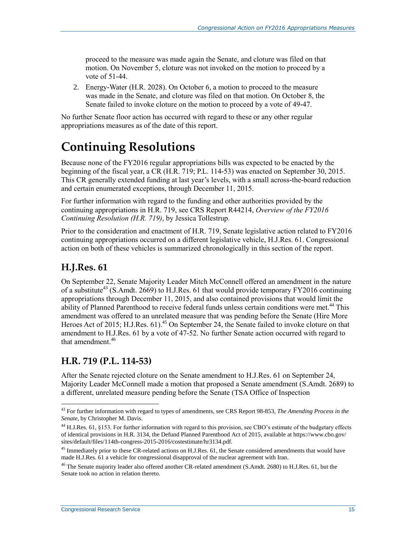proceed to the measure was made again the Senate, and cloture was filed on that motion. On November 5, cloture was not invoked on the motion to proceed by a vote of 51-44.

2. Energy-Water (H.R. 2028). On October 6, a motion to proceed to the measure was made in the Senate, and cloture was filed on that motion. On October 8, the Senate failed to invoke cloture on the motion to proceed by a vote of 49-47.

No further Senate floor action has occurred with regard to these or any other regular appropriations measures as of the date of this report.

# **Continuing Resolutions**

Because none of the FY2016 regular appropriations bills was expected to be enacted by the beginning of the fiscal year, a CR (H.R. 719; P.L. 114-53) was enacted on September 30, 2015. This CR generally extended funding at last year's levels, with a small across-the-board reduction and certain enumerated exceptions, through December 11, 2015.

For further information with regard to the funding and other authorities provided by the continuing appropriations in H.R. 719, see CRS Report R44214, *Overview of the FY2016 Continuing Resolution (H.R. 719)*, by Jessica Tollestrup.

Prior to the consideration and enactment of H.R. 719, Senate legislative action related to FY2016 continuing appropriations occurred on a different legislative vehicle, H.J.Res. 61. Congressional action on both of these vehicles is summarized chronologically in this section of the report.

## **H.J.Res. 61**

 $\overline{a}$ 

On September 22, Senate Majority Leader Mitch McConnell offered an amendment in the nature of a substitute<sup>43</sup> (S.Amdt. 2669) to H.J.Res. 61 that would provide temporary FY2016 continuing appropriations through December 11, 2015, and also contained provisions that would limit the ability of Planned Parenthood to receive federal funds unless certain conditions were met.<sup>44</sup> This amendment was offered to an unrelated measure that was pending before the Senate (Hire More Heroes Act of 2015; H.J.Res. 61).<sup>45</sup> On September 24, the Senate failed to invoke cloture on that amendment to H.J.Res. 61 by a vote of 47-52. No further Senate action occurred with regard to that amendment<sup>46</sup>

## **H.R. 719 (P.L. 114-53)**

After the Senate rejected cloture on the Senate amendment to H.J.Res. 61 on September 24, Majority Leader McConnell made a motion that proposed a Senate amendment (S.Amdt. 2689) to a different, unrelated measure pending before the Senate (TSA Office of Inspection

<sup>43</sup> For further information with regard to types of amendments, see CRS Report 98-853, *The Amending Process in the Senate*, by Christopher M. Davis.

<sup>&</sup>lt;sup>44</sup> H.J.Res. 61, §153. For further information with regard to this provision, see CBO's estimate of the budgetary effects of identical provisions in H.R. 3134, the Defund Planned Parenthood Act of 2015, available at https://www.cbo.gov/ sites/default/files/114th-congress-2015-2016/costestimate/hr3134.pdf.

<sup>&</sup>lt;sup>45</sup> Immediately prior to these CR-related actions on H.J.Res. 61, the Senate considered amendments that would have made H.J.Res. 61 a vehicle for congressional disapproval of the nuclear agreement with Iran.

<sup>&</sup>lt;sup>46</sup> The Senate majority leader also offered another CR-related amendment (S.Amdt. 2680) to H.J.Res. 61, but the Senate took no action in relation thereto.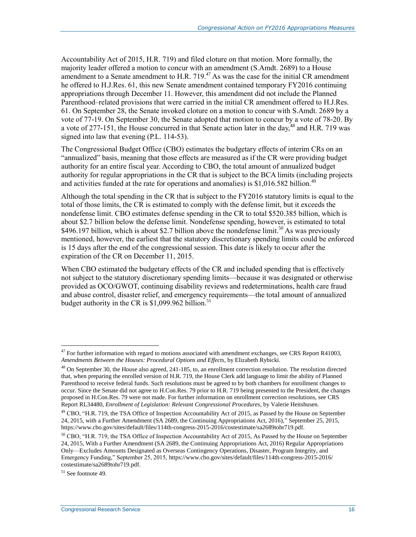Accountability Act of 2015, H.R. 719) and filed cloture on that motion. More formally, the majority leader offered a motion to concur with an amendment (S.Amdt. 2689) to a House amendment to a Senate amendment to H.R. 719.<sup>47</sup> As was the case for the initial CR amendment he offered to H.J.Res. 61, this new Senate amendment contained temporary FY2016 continuing appropriations through December 11. However, this amendment did not include the Planned Parenthood–related provisions that were carried in the initial CR amendment offered to H.J.Res. 61. On September 28, the Senate invoked cloture on a motion to concur with S.Amdt. 2689 by a vote of 77-19. On September 30, the Senate adopted that motion to concur by a vote of 78-20. By a vote of 277-151, the House concurred in that Senate action later in the day, $48$  and H.R. 719 was signed into law that evening (P.L. 114-53).

The Congressional Budget Office (CBO) estimates the budgetary effects of interim CRs on an "annualized" basis, meaning that those effects are measured as if the CR were providing budget authority for an entire fiscal year. According to CBO, the total amount of annualized budget authority for regular appropriations in the CR that is subject to the BCA limits (including projects and activities funded at the rate for operations and anomalies) is  $$1,016.582$  billion.<sup>49</sup>

<span id="page-18-0"></span>Although the total spending in the CR that is subject to the FY2016 statutory limits is equal to the total of those limits, the CR is estimated to comply with the defense limit, but it exceeds the nondefense limit. CBO estimates defense spending in the CR to total \$520.385 billion, which is about \$2.7 billion below the defense limit. Nondefense spending, however, is estimated to total \$496.197 billion, which is about \$2.7 billion above the nondefense limit.<sup>50</sup> As was previously mentioned, however, the earliest that the statutory discretionary spending limits could be enforced is 15 days after the end of the congressional session. This date is likely to occur after the expiration of the CR on December 11, 2015.

When CBO estimated the budgetary effects of the CR and included spending that is effectively not subject to the statutory discretionary spending limits—because it was designated or otherwise provided as OCO/GWOT, continuing disability reviews and redeterminations, health care fraud and abuse control, disaster relief, and emergency requirements—the total amount of annualized budget authority in the CR is  $$1,099.962$  billion.<sup>51</sup>

 $51$  See footnot[e 49.](#page-18-0)

 $47$  For further information with regard to motions associated with amendment exchanges, see CRS Report R41003, *Amendments Between the Houses: Procedural Options and Effects*, by Elizabeth Rybicki.

 $48$  On September 30, the House also agreed,  $241-185$ , to, an enrollment correction resolution. The resolution directed that, when preparing the enrolled version of H.R. 719, the House Clerk add language to limit the ability of Planned Parenthood to receive federal funds. Such resolutions must be agreed to by both chambers for enrollment changes to occur. Since the Senate did not agree to H.Con.Res. 79 prior to H.R. 719 being presented to the President, the changes proposed in H.Con.Res. 79 were not made. For further information on enrollment correction resolutions, see CRS Report RL34480, *Enrollment of Legislation: Relevant Congressional Procedures*, by Valerie Heitshusen.

 $49$  CBO, "H.R. 719, the TSA Office of Inspection Accountability Act of 2015, as Passed by the House on September 24, 2015, with a Further Amendment (SA 2689, the Continuing Appropriations Act, 2016)," September 25, 2015, https://www.cbo.gov/sites/default/files/114th-congress-2015-2016/costestimate/sa2689tohr719.pdf.

 $50$  CBO, "H.R. 719, the TSA Office of Inspection Accountability Act of 2015, As Passed by the House on September 24, 2015, With a Further Amendment (SA 2689, the Continuing Appropriations Act, 2016) Regular Appropriations Only—Excludes Amounts Designated as Overseas Contingency Operations, Disaster, Program Integrity, and Emergency Funding," September 25, 2015, https://www.cbo.gov/sites/default/files/114th-congress-2015-2016/ costestimate/sa2689tohr719.pdf.